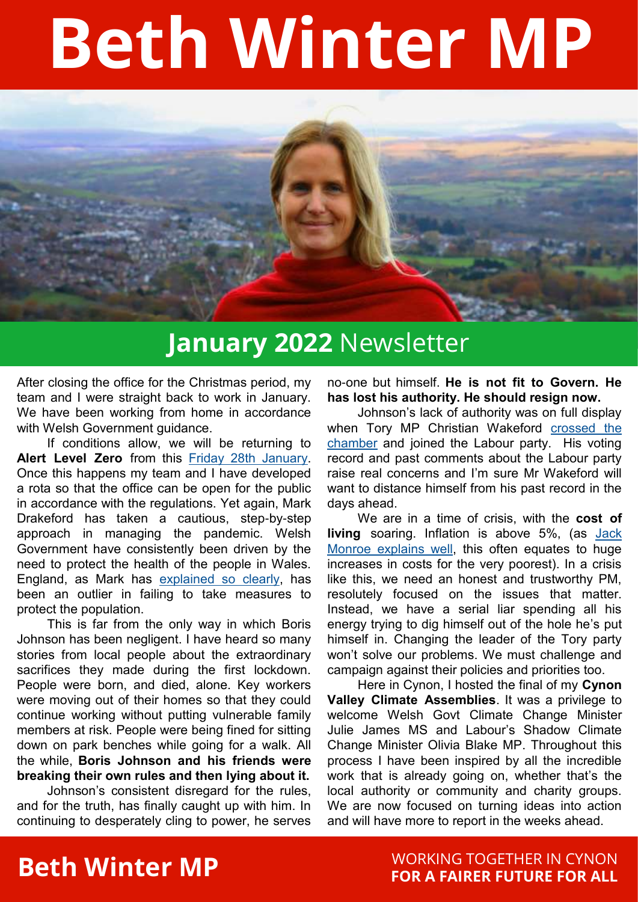# **Beth Winter MP**



#### **January 2022** Newsletter

After closing the office for the Christmas period, my team and I were straight back to work in January. We have been working from home in accordance with Welsh Government quidance.

If conditions allow, we will be returning to **Alert Level Zero** from this [Friday 28th January.](https://www.itv.com/news/wales/2022-01-13/wales-sets-out-two-week-plan-to-ease-coronavirus-restrictions)  Once this happens my team and I have developed a rota so that the office can be open for the public in accordance with the regulations. Yet again, Mark Drakeford has taken a cautious, step-by-step approach in managing the pandemic. Welsh Government have consistently been driven by the need to protect the health of the people in Wales. England, as Mark has [explained so clearly,](https://www.theguardian.com/world/video/2022/jan/07/england-global-outlier-covid-policy-says-welsh-first-minister-video) has been an outlier in failing to take measures to protect the population.

This is far from the only way in which Boris Johnson has been negligent. I have heard so many stories from local people about the extraordinary sacrifices they made during the first lockdown. People were born, and died, alone. Key workers were moving out of their homes so that they could continue working without putting vulnerable family members at risk. People were being fined for sitting down on park benches while going for a walk. All the while, **Boris Johnson and his friends were breaking their own rules and then lying about it.**

Johnson's consistent disregard for the rules, and for the truth, has finally caught up with him. In continuing to desperately cling to power, he serves no-one but himself. **He is not fit to Govern. He has lost his authority. He should resign now.**

Johnson's lack of authority was on full display when Tory MP Christian Wakeford [crossed the](https://www.bbc.co.uk/news/uk-politics-60054968)  [chamber](https://www.bbc.co.uk/news/uk-politics-60054968) and joined the Labour party. His voting record and past comments about the Labour party raise real concerns and I'm sure Mr Wakeford will want to distance himself from his past record in the days ahead.

We are in a time of crisis, with the **cost of living** soaring. Inflation is above 5%, (as [Jack](https://twitter.com/BootstrapCook/status/1483778776697909252?s=20)  [Monroe explains well,](https://twitter.com/BootstrapCook/status/1483778776697909252?s=20) this often equates to huge increases in costs for the very poorest). In a crisis like this, we need an honest and trustworthy PM, resolutely focused on the issues that matter. Instead, we have a serial liar spending all his energy trying to dig himself out of the hole he's put himself in. Changing the leader of the Tory party won't solve our problems. We must challenge and campaign against their policies and priorities too.

Here in Cynon, I hosted the final of my **Cynon Valley Climate Assemblies**. It was a privilege to welcome Welsh Govt Climate Change Minister Julie James MS and Labour's Shadow Climate Change Minister Olivia Blake MP. Throughout this process I have been inspired by all the incredible work that is already going on, whether that's the local authority or community and charity groups. We are now focused on turning ideas into action and will have more to report in the weeks ahead.

## **Beth Winter MP Example 20 YORKING TOGETHER IN CYNON FOR A FAIRER FUTURE FOR ALL**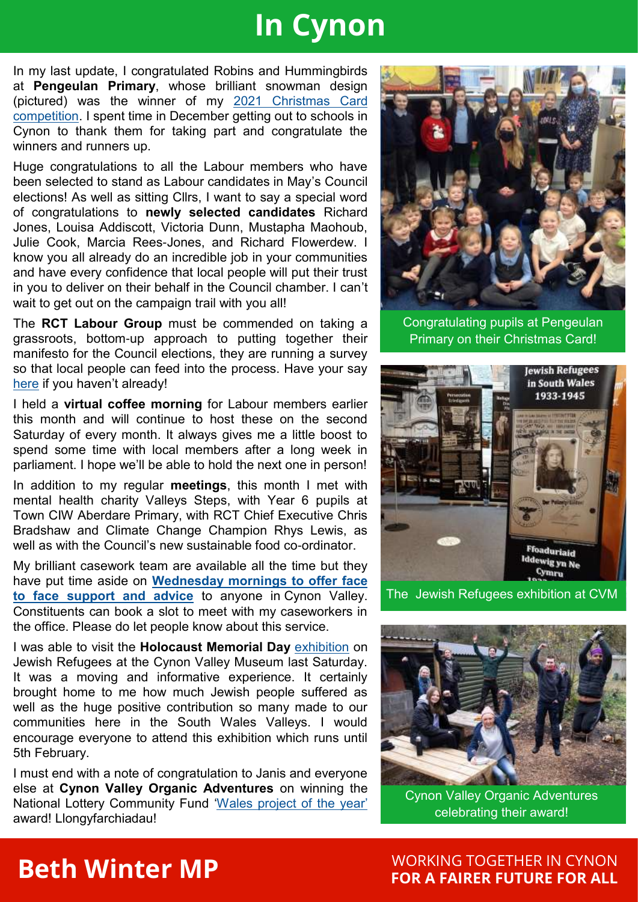### **In Cynon**

In my last update, I congratulated Robins and Hummingbirds at **Pengeulan Primary**, whose brilliant snowman design (pictured) was the winner of my [2021 Christmas Card](https://www.bethwinter.wales/2021/12/01/2021-christmas-card-competition/)  [competition.](https://www.bethwinter.wales/2021/12/01/2021-christmas-card-competition/) I spent time in December getting out to schools in Cynon to thank them for taking part and congratulate the winners and runners up.

Huge congratulations to all the Labour members who have been selected to stand as Labour candidates in May's Council elections! As well as sitting Cllrs, I want to say a special word of congratulations to **newly selected candidates** Richard Jones, Louisa Addiscott, Victoria Dunn, Mustapha Maohoub, Julie Cook, Marcia Rees-Jones, and Richard Flowerdew. I know you all already do an incredible job in your communities and have every confidence that local people will put their trust in you to deliver on their behalf in the Council chamber. I can't wait to get out on the campaign trail with you all!

The **RCT Labour Group** must be commended on taking a grassroots, bottom-up approach to putting together their manifesto for the Council elections, they are running a survey so that local people can feed into the process. Have your say [here](https://actionnetwork.org/forms/rct-labour-christmas-survey/) if you haven't already!

I held a **virtual coffee morning** for Labour members earlier this month and will continue to host these on the second Saturday of every month. It always gives me a little boost to spend some time with local members after a long week in parliament. I hope we'll be able to hold the next one in person!

In addition to my regular **meetings**, this month I met with mental health charity Valleys Steps, with Year 6 pupils at Town CIW Aberdare Primary, with RCT Chief Executive Chris Bradshaw and Climate Change Champion Rhys Lewis, as well as with the Council's new sustainable food co-ordinator.

My brilliant casework team are available all the time but they have put time aside on **[Wednesday mornings to offer face](https://www.facebook.com/BethWinterMP/photos/a.109147603833295/662963138451736/?type=3&theater)  [to face support and advice](https://www.facebook.com/BethWinterMP/photos/a.109147603833295/662963138451736/?type=3&theater)** to anyone in Cynon Valley. Constituents can book a slot to meet with my caseworkers in the office. Please do let people know about this service.

I was able to visit the **Holocaust Memorial Day** [exhibition](https://www.facebook.com/BethWinterMP/photos/a.109147603833295/664144818333568/?type=3&theater) on Jewish Refugees at the Cynon Valley Museum last Saturday. It was a moving and informative experience. It certainly brought home to me how much Jewish people suffered as well as the huge positive contribution so many made to our communities here in the South Wales Valleys. I would encourage everyone to attend this exhibition which runs until 5th February.

I must end with a note of congratulation to Janis and everyone else at **Cynon Valley Organic Adventures** on winning the National Lottery Community Fund ['Wales project of the year'](https://www.facebook.com/LotteryGoodCauses/posts/10159031421247690) award! Llongyfarchiadau!



Congratulating pupils at Pengeulan Primary on their Christmas Card!



The Jewish Refugees exhibition at CVM



Cynon Valley Organic Adventures celebrating their award!

WORKING TOGETHER IN CYNON **FOR A FAIRER FUTURE FOR ALL**

#### **Beth Winter MP**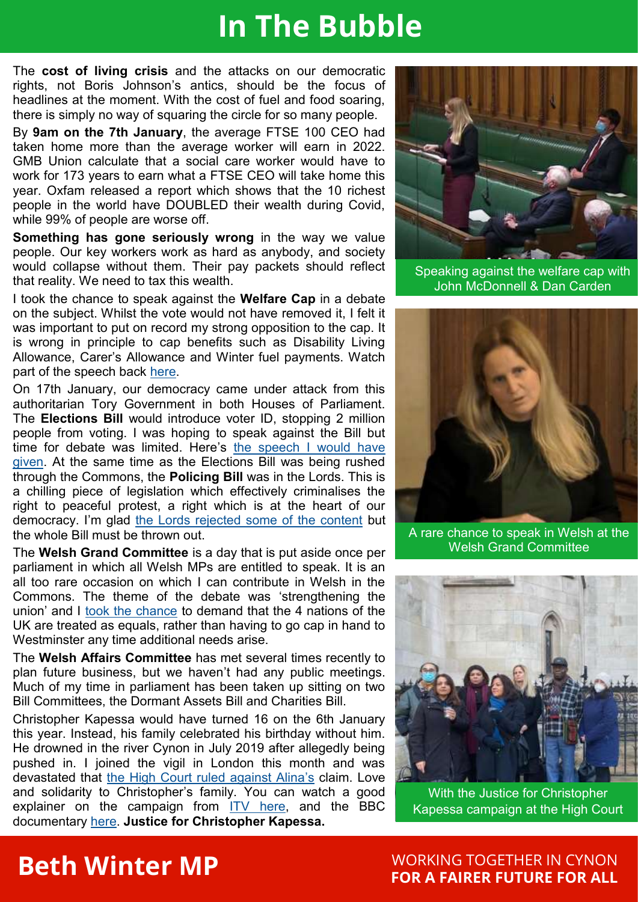#### **In The Bubble**

The **cost of living crisis** and the attacks on our democratic rights, not Boris Johnson's antics, should be the focus of headlines at the moment. With the cost of fuel and food soaring, there is simply no way of squaring the circle for so many people.

By **9am on the 7th January**, the average FTSE 100 CEO had taken home more than the average worker will earn in 2022. GMB Union calculate that a social care worker would have to work for 173 years to earn what a FTSE CEO will take home this year. Oxfam released a report which shows that the 10 richest people in the world have DOUBLED their wealth during Covid, while 99% of people are worse off.

**Something has gone seriously wrong** in the way we value people. Our key workers work as hard as anybody, and society would collapse without them. Their pay packets should reflect that reality. We need to tax this wealth.

I took the chance to speak against the **Welfare Cap** in a debate on the subject. Whilst the vote would not have removed it, I felt it was important to put on record my strong opposition to the cap. It is wrong in principle to cap benefits such as Disability Living Allowance, Carer's Allowance and Winter fuel payments. Watch part of the speech back [here.](https://twitter.com/BethWinterMP/status/1480872767788666882?s=20) 

On 17th January, our democracy came under attack from this authoritarian Tory Government in both Houses of Parliament. The **Elections Bill** would introduce voter ID, stopping 2 million people from voting. I was hoping to speak against the Bill but time for debate was limited. Here's [the speech I would have](https://www.bethwinter.wales/2022/01/18/elections-bill-the-speech-i-would-have-given/)  [given.](https://www.bethwinter.wales/2022/01/18/elections-bill-the-speech-i-would-have-given/) At the same time as the Elections Bill was being rushed through the Commons, the **Policing Bill** was in the Lords. This is a chilling piece of legislation which effectively criminalises the right to peaceful protest, a right which is at the heart of our democracy. I'm glad [the Lords rejected some of the content](https://www.bbc.co.uk/news/uk-politics-60032465) but the whole Bill must be thrown out.

The **Welsh Grand Committee** is a day that is put aside once per parliament in which all Welsh MPs are entitled to speak. It is an all too rare occasion on which I can contribute in Welsh in the Commons. The theme of the debate was 'strengthening the union' and I [took the chance](https://twitter.com/BethWinterMP/status/1483549382431678464?s=20) to demand that the 4 nations of the UK are treated as equals, rather than having to go cap in hand to Westminster any time additional needs arise.

The **Welsh Affairs Committee** has met several times recently to plan future business, but we haven't had any public meetings. Much of my time in parliament has been taken up sitting on two Bill Committees, the Dormant Assets Bill and Charities Bill.

Christopher Kapessa would have turned 16 on the 6th January this year. Instead, his family celebrated his birthday without him. He drowned in the river Cynon in July 2019 after allegedly being pushed in. I joined the vigil in London this month and was devastated that [the High Court ruled against Alina's](https://www.voice.wales/bitter-blow-dealt-by-a-racist-justice-system-christopher-kapessa-high-court-verdict-sparks-outrage/) claim. Love and solidarity to Christopher's family. You can watch a good explainer on the campaign from  $IV$  here, and the BBC documentary [here.](https://www.bbc.co.uk/iplayer/episode/m000wzbp/bbc-wales-investigates-christopher-the-boy-who-never-came-home) **Justice for Christopher Kapessa.**



Speaking against the welfare cap with John McDonnell & Dan Carden



A rare chance to speak in Welsh at the Welsh Grand Committee



With the Justice for Christopher Kapessa campaign at the High Court

#### **Beth Winter MP**

#### WORKING TOGETHER IN CYNON **FOR A FAIRER FUTURE FOR ALL**